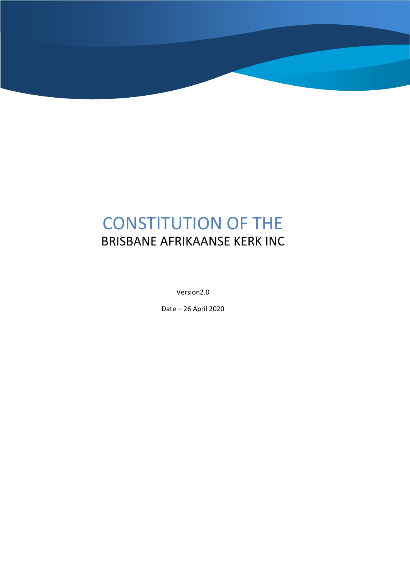# CONSTITUTION OF THE BRISBANE AFRIKAANSE KERK INC

Version2.0

Date – 26 April 2020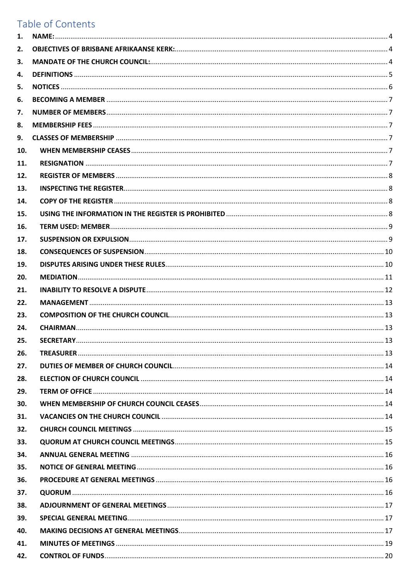# Table of Contents

| 1.  |  |
|-----|--|
| 2.  |  |
| 3.  |  |
| 4.  |  |
| 5.  |  |
| 6.  |  |
| 7.  |  |
| 8.  |  |
| 9.  |  |
| 10. |  |
| 11. |  |
| 12. |  |
| 13. |  |
| 14. |  |
| 15. |  |
| 16. |  |
| 17. |  |
| 18. |  |
| 19. |  |
| 20. |  |
| 21. |  |
| 22. |  |
| 23. |  |
| 24. |  |
| 25. |  |
| 26. |  |
| 27. |  |
| 28. |  |
| 29. |  |
| 30. |  |
| 31. |  |
| 32. |  |
| 33. |  |
| 34. |  |
| 35. |  |
| 36. |  |
| 37. |  |
| 38. |  |
| 39. |  |
| 40. |  |
| 41. |  |
| 42. |  |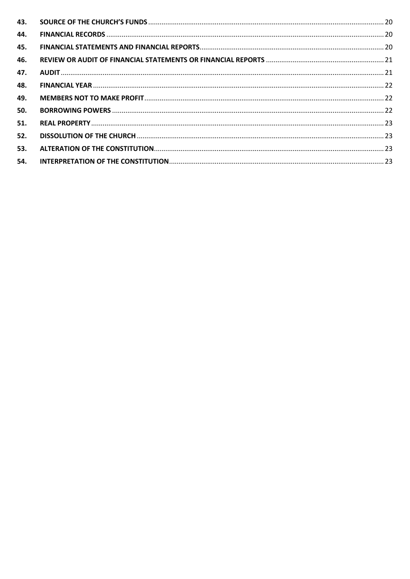| 44. |  |
|-----|--|
| 45. |  |
| 46. |  |
| 47. |  |
| 48. |  |
| 49. |  |
| 50. |  |
| 51. |  |
| 52. |  |
| 53. |  |
| 54. |  |
|     |  |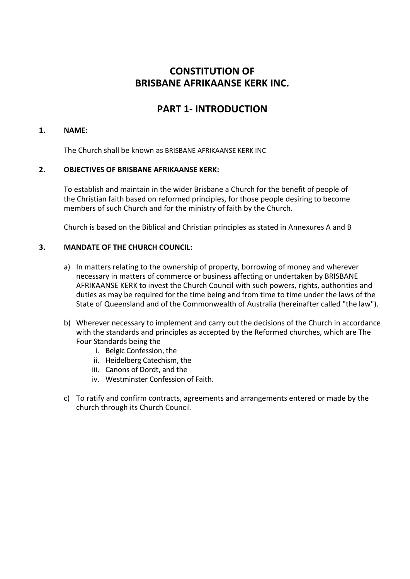# **CONSTITUTION OF BRISBANE AFRIKAANSE KERK INC.**

# **PART 1- INTRODUCTION**

#### **1. NAME:**

The Church shall be known as BRISBANE AFRIKAANSE KERK INC

#### **2. OBJECTIVES OF BRISBANE AFRIKAANSE KERK:**

To establish and maintain in the wider Brisbane a Church for the benefit of people of the Christian faith based on reformed principles, for those people desiring to become members of such Church and for the ministry of faith by the Church.

Church is based on the Biblical and Christian principles as stated in Annexures A and B

#### **3. MANDATE OF THE CHURCH COUNCIL:**

- a) In matters relating to the ownership of property, borrowing of money and wherever necessary in matters of commerce or business affecting or undertaken by BRISBANE AFRIKAANSE KERK to invest the Church Council with such powers, rights, authorities and duties as may be required for the time being and from time to time under the laws of the State of Queensland and of the Commonwealth of Australia (hereinafter called "the law").
- b) Wherever necessary to implement and carry out the decisions of the Church in accordance with the standards and principles as accepted by the Reformed churches, which are The Four Standards being the
	- i. Belgic Confession, the
	- ii. Heidelberg Catechism, the
	- iii. Canons of Dordt, and the
	- iv. Westminster Confession of Faith.
- c) To ratify and confirm contracts, agreements and arrangements entered or made by the church through its Church Council.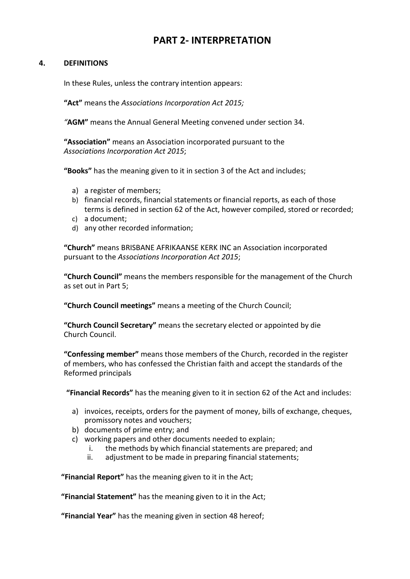# **PART 2- INTERPRETATION**

#### **4. DEFINITIONS**

In these Rules, unless the contrary intention appears:

**"Act"** means the *Associations Incorporation Act 2015;* 

*"***AGM"** means the Annual General Meeting convened under section 34.

**"Association"** means an Association incorporated pursuant to the *Associations Incorporation Act 2015*;

**"Books"** has the meaning given to it in section 3 of the Act and includes;

- a) a register of members;
- b) financial records, financial statements or financial reports, as each of those terms is defined in section 62 of the Act, however compiled, stored or recorded;
- c) a document;
- d) any other recorded information;

**"Church"** means BRISBANE AFRIKAANSE KERK INC an Association incorporated pursuant to the *Associations Incorporation Act 2015*;

**"Church Council"** means the members responsible for the management of the Church as set out in Part 5;

**"Church Council meetings"** means a meeting of the Church Council;

**"Church Council Secretary"** means the secretary elected or appointed by die Church Council.

**"Confessing member"** means those members of the Church, recorded in the register of members, who has confessed the Christian faith and accept the standards of the Reformed principals

**"Financial Records"** has the meaning given to it in section 62 of the Act and includes:

- a) invoices, receipts, orders for the payment of money, bills of exchange, cheques, promissory notes and vouchers;
- b) documents of prime entry; and
- c) working papers and other documents needed to explain;
	- i. the methods by which financial statements are prepared; and
	- ii. adjustment to be made in preparing financial statements;

**"Financial Report"** has the meaning given to it in the Act;

**"Financial Statement"** has the meaning given to it in the Act;

**"Financial Year"** has the meaning given in section 48 hereof;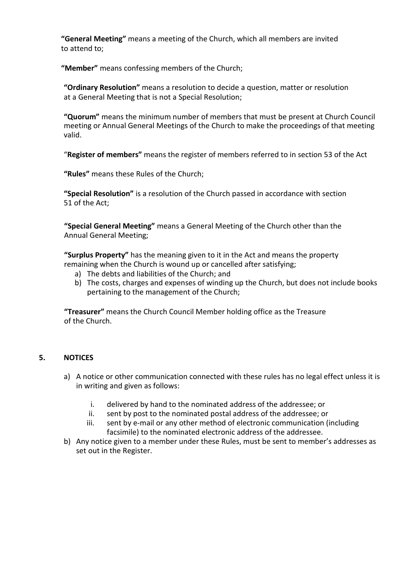**"General Meeting"** means a meeting of the Church, which all members are invited to attend to;

**"Member"** means confessing members of the Church;

**"Ordinary Resolution"** means a resolution to decide a question, matter or resolution at a General Meeting that is not a Special Resolution;

**"Quorum"** means the minimum number of members that must be present at Church Council meeting or Annual General Meetings of the Church to make the proceedings of that meeting valid.

"**Register of members"** means the register of members referred to in section 53 of the Act

**"Rules"** means these Rules of the Church;

**"Special Resolution"** is a resolution of the Church passed in accordance with section 51 of the Act;

**"Special General Meeting"** means a General Meeting of the Church other than the Annual General Meeting;

**"Surplus Property"** has the meaning given to it in the Act and means the property remaining when the Church is wound up or cancelled after satisfying;

- a) The debts and liabilities of the Church; and
- b) The costs, charges and expenses of winding up the Church, but does not include books pertaining to the management of the Church;

**"Treasurer"** means the Church Council Member holding office as the Treasure of the Church.

#### **5. NOTICES**

- a) A notice or other communication connected with these rules has no legal effect unless it is in writing and given as follows:
	- i. delivered by hand to the nominated address of the addressee; or
	- ii. sent by post to the nominated postal address of the addressee; or
	- iii. sent by e-mail or any other method of electronic communication (including facsimile) to the nominated electronic address of the addressee.
- b) Any notice given to a member under these Rules, must be sent to member's addresses as set out in the Register.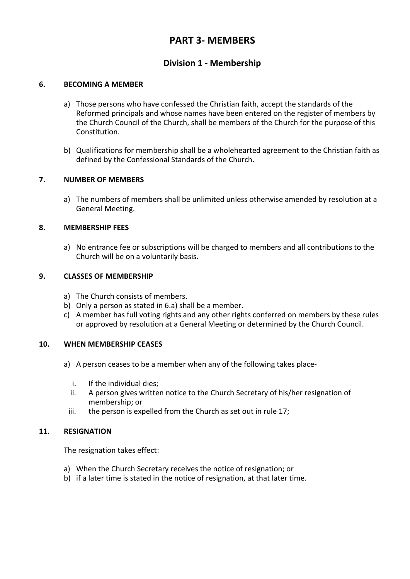# **PART 3- MEMBERS**

## **Division 1 - Membership**

#### **6. BECOMING A MEMBER**

- a) Those persons who have confessed the Christian faith, accept the standards of the Reformed principals and whose names have been entered on the register of members by the Church Council of the Church, shall be members of the Church for the purpose of this Constitution.
- b) Qualifications for membership shall be a wholehearted agreement to the Christian faith as defined by the Confessional Standards of the Church.

#### **7. NUMBER OF MEMBERS**

a) The numbers of members shall be unlimited unless otherwise amended by resolution at a General Meeting.

#### **8. MEMBERSHIP FEES**

a) No entrance fee or subscriptions will be charged to members and all contributions to the Church will be on a voluntarily basis.

#### **9. CLASSES OF MEMBERSHIP**

- a) The Church consists of members.
- b) Only a person as stated in 6.a) shall be a member.
- c) A member has full voting rights and any other rights conferred on members by these rules or approved by resolution at a General Meeting or determined by the Church Council.

#### **10. WHEN MEMBERSHIP CEASES**

- a) A person ceases to be a member when any of the following takes place
	- i. If the individual dies;
	- ii. A person gives written notice to the Church Secretary of his/her resignation of membership; or
	- iii. the person is expelled from the Church as set out in rule 17;

#### **11. RESIGNATION**

The resignation takes effect:

- a) When the Church Secretary receives the notice of resignation; or
- b) if a later time is stated in the notice of resignation, at that later time.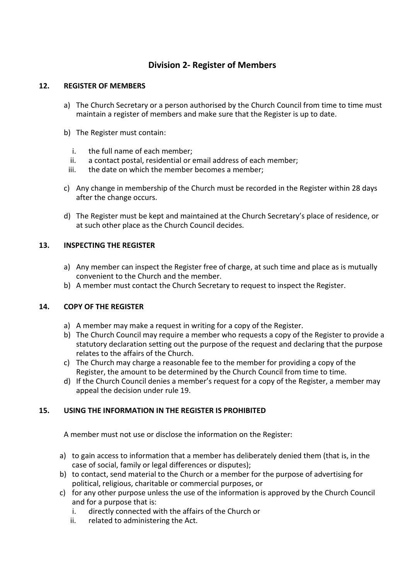# **Division 2- Register of Members**

#### **12. REGISTER OF MEMBERS**

- a) The Church Secretary or a person authorised by the Church Council from time to time must maintain a register of members and make sure that the Register is up to date.
- b) The Register must contain:
	- i. the full name of each member;
	- ii. a contact postal, residential or email address of each member;
	- iii. the date on which the member becomes a member;
- c) Any change in membership of the Church must be recorded in the Register within 28 days after the change occurs.
- d) The Register must be kept and maintained at the Church Secretary's place of residence, or at such other place as the Church Council decides.

#### **13. INSPECTING THE REGISTER**

- a) Any member can inspect the Register free of charge, at such time and place as is mutually convenient to the Church and the member.
- b) A member must contact the Church Secretary to request to inspect the Register.

#### **14. COPY OF THE REGISTER**

- a) A member may make a request in writing for a copy of the Register.
- b) The Church Council may require a member who requests a copy of the Register to provide a statutory declaration setting out the purpose of the request and declaring that the purpose relates to the affairs of the Church.
- c) The Church may charge a reasonable fee to the member for providing a copy of the Register, the amount to be determined by the Church Council from time to time.
- d) If the Church Council denies a member's request for a copy of the Register, a member may appeal the decision under rule 19.

### **15. USING THE INFORMATION IN THE REGISTER IS PROHIBITED**

A member must not use or disclose the information on the Register:

- a) to gain access to information that a member has deliberately denied them (that is, in the case of social, family or legal differences or disputes);
- b) to contact, send material to the Church or a member for the purpose of advertising for political, religious, charitable or commercial purposes, or
- c) for any other purpose unless the use of the information is approved by the Church Council and for a purpose that is:
	- i. directly connected with the affairs of the Church or
	- ii. related to administering the Act.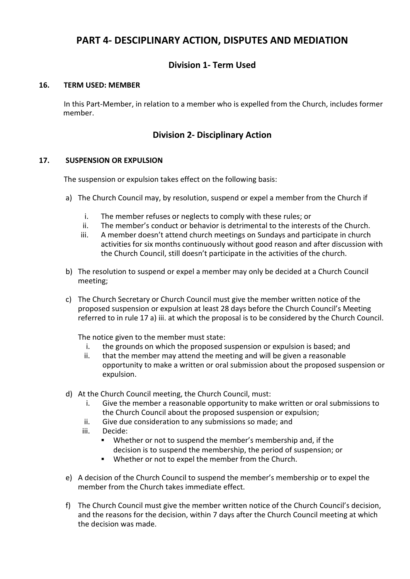# **PART 4- DESCIPLINARY ACTION, DISPUTES AND MEDIATION**

# **Division 1- Term Used**

#### **16. TERM USED: MEMBER**

In this Part-Member, in relation to a member who is expelled from the Church, includes former member.

# **Division 2- Disciplinary Action**

#### **17. SUSPENSION OR EXPULSION**

The suspension or expulsion takes effect on the following basis:

- a) The Church Council may, by resolution, suspend or expel a member from the Church if
	- i. The member refuses or neglects to comply with these rules; or
	- ii. The member's conduct or behavior is detrimental to the interests of the Church.
	- iii. A member doesn't attend church meetings on Sundays and participate in church activities for six months continuously without good reason and after discussion with the Church Council, still doesn't participate in the activities of the church.
- b) The resolution to suspend or expel a member may only be decided at a Church Council meeting;
- c) The Church Secretary or Church Council must give the member written notice of the proposed suspension or expulsion at least 28 days before the Church Council's Meeting referred to in rule 17 a) iii. at which the proposal is to be considered by the Church Council.

The notice given to the member must state:

- i. the grounds on which the proposed suspension or expulsion is based; and
- ii. that the member may attend the meeting and will be given a reasonable opportunity to make a written or oral submission about the proposed suspension or expulsion.
- d) At the Church Council meeting, the Church Council, must:
	- i. Give the member a reasonable opportunity to make written or oral submissions to the Church Council about the proposed suspension or expulsion;
	- ii. Give due consideration to any submissions so made; and
	- iii. Decide:
		- Whether or not to suspend the member's membership and, if the decision is to suspend the membership, the period of suspension; or
		- Whether or not to expel the member from the Church.
- e) A decision of the Church Council to suspend the member's membership or to expel the member from the Church takes immediate effect.
- f) The Church Council must give the member written notice of the Church Council's decision, and the reasons for the decision, within 7 days after the Church Council meeting at which the decision was made.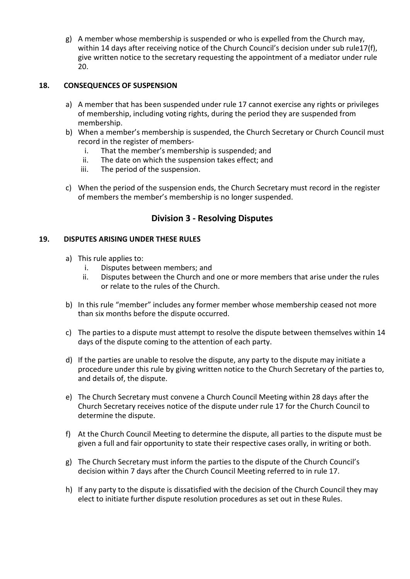g) A member whose membership is suspended or who is expelled from the Church may, within 14 days after receiving notice of the Church Council's decision under sub rule17(f), give written notice to the secretary requesting the appointment of a mediator under rule 20.

#### **18. CONSEQUENCES OF SUSPENSION**

- a) A member that has been suspended under rule 17 cannot exercise any rights or privileges of membership, including voting rights, during the period they are suspended from membership.
- b) When a member's membership is suspended, the Church Secretary or Church Council must record in the register of members
	- i. That the member's membership is suspended; and
	- ii. The date on which the suspension takes effect; and
	- iii. The period of the suspension.
- c) When the period of the suspension ends, the Church Secretary must record in the register of members the member's membership is no longer suspended.

### **Division 3 - Resolving Disputes**

#### **19. DISPUTES ARISING UNDER THESE RULES**

- a) This rule applies to:
	- i. Disputes between members; and
	- ii. Disputes between the Church and one or more members that arise under the rules or relate to the rules of the Church.
- b) In this rule "member" includes any former member whose membership ceased not more than six months before the dispute occurred.
- c) The parties to a dispute must attempt to resolve the dispute between themselves within 14 days of the dispute coming to the attention of each party.
- d) If the parties are unable to resolve the dispute, any party to the dispute may initiate a procedure under this rule by giving written notice to the Church Secretary of the parties to, and details of, the dispute.
- e) The Church Secretary must convene a Church Council Meeting within 28 days after the Church Secretary receives notice of the dispute under rule 17 for the Church Council to determine the dispute.
- f) At the Church Council Meeting to determine the dispute, all parties to the dispute must be given a full and fair opportunity to state their respective cases orally, in writing or both.
- g) The Church Secretary must inform the parties to the dispute of the Church Council's decision within 7 days after the Church Council Meeting referred to in rule 17.
- h) If any party to the dispute is dissatisfied with the decision of the Church Council they may elect to initiate further dispute resolution procedures as set out in these Rules.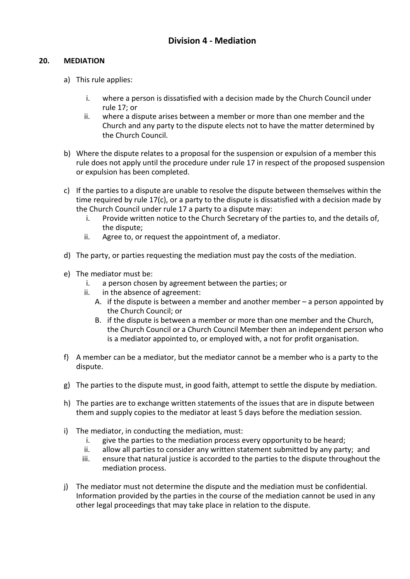#### **20. MEDIATION**

- a) This rule applies:
	- i. where a person is dissatisfied with a decision made by the Church Council under rule 17; or
	- ii. where a dispute arises between a member or more than one member and the Church and any party to the dispute elects not to have the matter determined by the Church Council.
- b) Where the dispute relates to a proposal for the suspension or expulsion of a member this rule does not apply until the procedure under rule 17 in respect of the proposed suspension or expulsion has been completed.
- c) If the parties to a dispute are unable to resolve the dispute between themselves within the time required by rule 17(c), or a party to the dispute is dissatisfied with a decision made by the Church Council under rule 17 a party to a dispute may:
	- i. Provide written notice to the Church Secretary of the parties to, and the details of, the dispute;
	- ii. Agree to, or request the appointment of, a mediator.
- d) The party, or parties requesting the mediation must pay the costs of the mediation.
- e) The mediator must be:
	- i. a person chosen by agreement between the parties; or
	- ii. in the absence of agreement:
		- A. if the dispute is between a member and another member a person appointed by the Church Council; or
		- B. if the dispute is between a member or more than one member and the Church, the Church Council or a Church Council Member then an independent person who is a mediator appointed to, or employed with, a not for profit organisation.
- f) A member can be a mediator, but the mediator cannot be a member who is a party to the dispute.
- g) The parties to the dispute must, in good faith, attempt to settle the dispute by mediation.
- h) The parties are to exchange written statements of the issues that are in dispute between them and supply copies to the mediator at least 5 days before the mediation session.
- i) The mediator, in conducting the mediation, must:
	- i. give the parties to the mediation process every opportunity to be heard;
	- ii. allow all parties to consider any written statement submitted by any party; and
	- iii. ensure that natural justice is accorded to the parties to the dispute throughout the mediation process.
- j) The mediator must not determine the dispute and the mediation must be confidential. Information provided by the parties in the course of the mediation cannot be used in any other legal proceedings that may take place in relation to the dispute.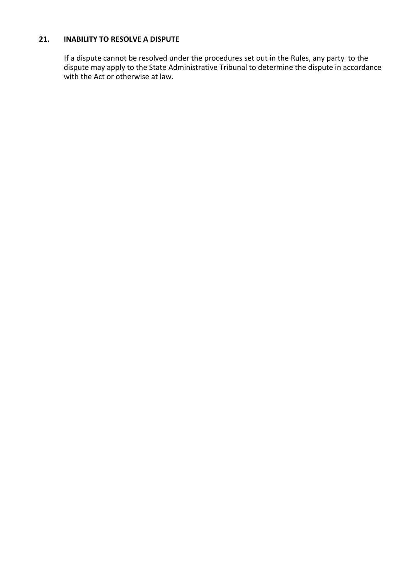#### **21. INABILITY TO RESOLVE A DISPUTE**

If a dispute cannot be resolved under the procedures set out in the Rules, any party to the dispute may apply to the State Administrative Tribunal to determine the dispute in accordance with the Act or otherwise at law.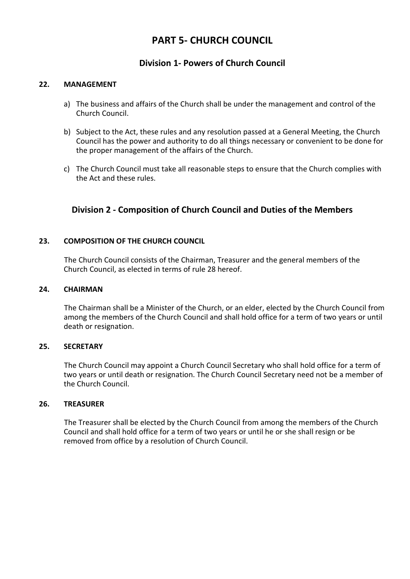# **PART 5- CHURCH COUNCIL**

### **Division 1- Powers of Church Council**

#### **22. MANAGEMENT**

- a) The business and affairs of the Church shall be under the management and control of the Church Council.
- b) Subject to the Act, these rules and any resolution passed at a General Meeting, the Church Council has the power and authority to do all things necessary or convenient to be done for the proper management of the affairs of the Church.
- c) The Church Council must take all reasonable steps to ensure that the Church complies with the Act and these rules.

### **Division 2 - Composition of Church Council and Duties of the Members**

#### **23. COMPOSITION OF THE CHURCH COUNCIL**

The Church Council consists of the Chairman, Treasurer and the general members of the Church Council, as elected in terms of rule 28 hereof.

#### **24. CHAIRMAN**

The Chairman shall be a Minister of the Church, or an elder, elected by the Church Council from among the members of the Church Council and shall hold office for a term of two years or until death or resignation.

#### **25. SECRETARY**

The Church Council may appoint a Church Council Secretary who shall hold office for a term of two years or until death or resignation. The Church Council Secretary need not be a member of the Church Council.

#### **26. TREASURER**

The Treasurer shall be elected by the Church Council from among the members of the Church Council and shall hold office for a term of two years or until he or she shall resign or be removed from office by a resolution of Church Council.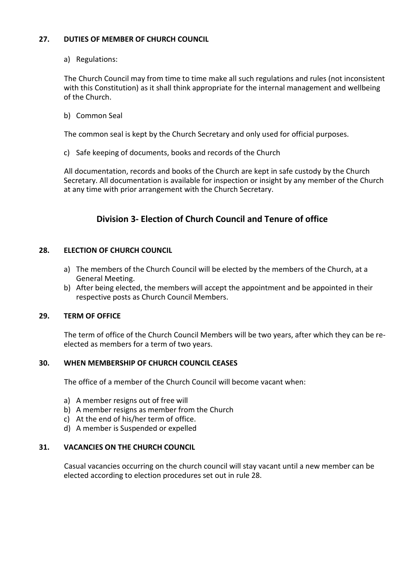#### **27. DUTIES OF MEMBER OF CHURCH COUNCIL**

a) Regulations:

The Church Council may from time to time make all such regulations and rules (not inconsistent with this Constitution) as it shall think appropriate for the internal management and wellbeing of the Church.

b) Common Seal

The common seal is kept by the Church Secretary and only used for official purposes.

c) Safe keeping of documents, books and records of the Church

All documentation, records and books of the Church are kept in safe custody by the Church Secretary. All documentation is available for inspection or insight by any member of the Church at any time with prior arrangement with the Church Secretary.

# **Division 3- Election of Church Council and Tenure of office**

#### **28. ELECTION OF CHURCH COUNCIL**

- a) The members of the Church Council will be elected by the members of the Church, at a General Meeting.
- b) After being elected, the members will accept the appointment and be appointed in their respective posts as Church Council Members.

#### **29. TERM OF OFFICE**

The term of office of the Church Council Members will be two years, after which they can be reelected as members for a term of two years.

#### **30. WHEN MEMBERSHIP OF CHURCH COUNCIL CEASES**

The office of a member of the Church Council will become vacant when:

- a) A member resigns out of free will
- b) A member resigns as member from the Church
- c) At the end of his/her term of office.
- d) A member is Suspended or expelled

#### **31. VACANCIES ON THE CHURCH COUNCIL**

Casual vacancies occurring on the church council will stay vacant until a new member can be elected according to election procedures set out in rule 28.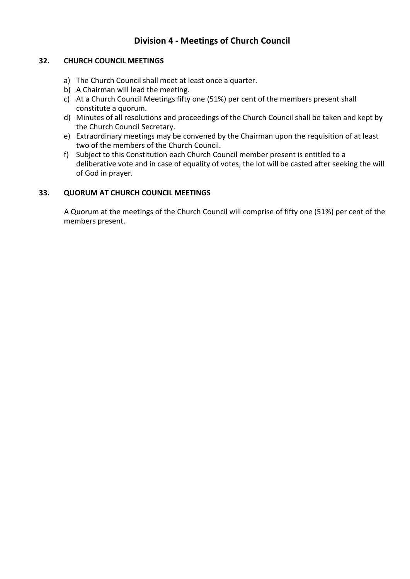# **Division 4 - Meetings of Church Council**

#### **32. CHURCH COUNCIL MEETINGS**

- a) The Church Council shall meet at least once a quarter.
- b) A Chairman will lead the meeting.
- c) At a Church Council Meetings fifty one (51%) per cent of the members present shall constitute a quorum.
- d) Minutes of all resolutions and proceedings of the Church Council shall be taken and kept by the Church Council Secretary.
- e) Extraordinary meetings may be convened by the Chairman upon the requisition of at least two of the members of the Church Council.
- f) Subject to this Constitution each Church Council member present is entitled to a deliberative vote and in case of equality of votes, the lot will be casted after seeking the will of God in prayer.

#### **33. QUORUM AT CHURCH COUNCIL MEETINGS**

A Quorum at the meetings of the Church Council will comprise of fifty one (51%) per cent of the members present.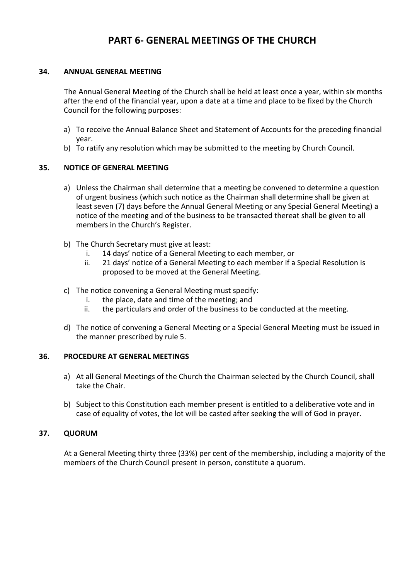# **PART 6- GENERAL MEETINGS OF THE CHURCH**

#### **34. ANNUAL GENERAL MEETING**

The Annual General Meeting of the Church shall be held at least once a year, within six months after the end of the financial year, upon a date at a time and place to be fixed by the Church Council for the following purposes:

- a) To receive the Annual Balance Sheet and Statement of Accounts for the preceding financial year.
- b) To ratify any resolution which may be submitted to the meeting by Church Council.

#### **35. NOTICE OF GENERAL MEETING**

- a) Unless the Chairman shall determine that a meeting be convened to determine a question of urgent business (which such notice as the Chairman shall determine shall be given at least seven (7) days before the Annual General Meeting or any Special General Meeting) a notice of the meeting and of the business to be transacted thereat shall be given to all members in the Church's Register.
- b) The Church Secretary must give at least:
	- i. 14 days' notice of a General Meeting to each member, or
	- ii. 21 days' notice of a General Meeting to each member if a Special Resolution is proposed to be moved at the General Meeting.
- c) The notice convening a General Meeting must specify:
	- i. the place, date and time of the meeting; and
	- ii. the particulars and order of the business to be conducted at the meeting.
- d) The notice of convening a General Meeting or a Special General Meeting must be issued in the manner prescribed by rule 5.

#### **36. PROCEDURE AT GENERAL MEETINGS**

- a) At all General Meetings of the Church the Chairman selected by the Church Council, shall take the Chair.
- b) Subject to this Constitution each member present is entitled to a deliberative vote and in case of equality of votes, the lot will be casted after seeking the will of God in prayer.

#### **37. QUORUM**

At a General Meeting thirty three (33%) per cent of the membership, including a majority of the members of the Church Council present in person, constitute a quorum.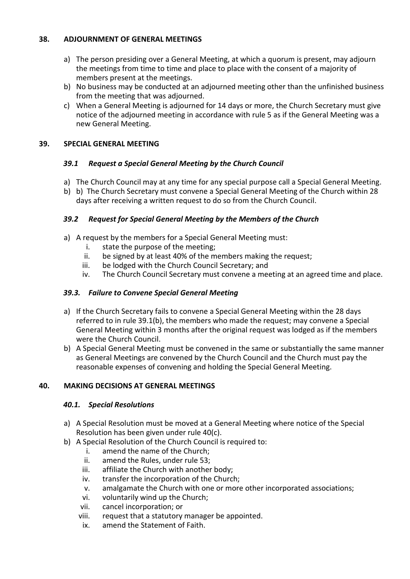#### **38. ADJOURNMENT OF GENERAL MEETINGS**

- a) The person presiding over a General Meeting, at which a quorum is present, may adjourn the meetings from time to time and place to place with the consent of a majority of members present at the meetings.
- b) No business may be conducted at an adjourned meeting other than the unfinished business from the meeting that was adjourned.
- c) When a General Meeting is adjourned for 14 days or more, the Church Secretary must give notice of the adjourned meeting in accordance with rule 5 as if the General Meeting was a new General Meeting.

#### **39. SPECIAL GENERAL MEETING**

### *39.1 Request a Special General Meeting by the Church Council*

- a) The Church Council may at any time for any special purpose call a Special General Meeting.
- b) b) The Church Secretary must convene a Special General Meeting of the Church within 28 days after receiving a written request to do so from the Church Council.

#### *39.2 Request for Special General Meeting by the Members of the Church*

- a) A request by the members for a Special General Meeting must:
	- i. state the purpose of the meeting;
	- ii. be signed by at least 40% of the members making the request;
	- iii. be lodged with the Church Council Secretary; and
	- iv. The Church Council Secretary must convene a meeting at an agreed time and place.

#### *39.3. Failure to Convene Special General Meeting*

- a) If the Church Secretary fails to convene a Special General Meeting within the 28 days referred to in rule 39.1(b), the members who made the request; may convene a Special General Meeting within 3 months after the original request was lodged as if the members were the Church Council.
- b) A Special General Meeting must be convened in the same or substantially the same manner as General Meetings are convened by the Church Council and the Church must pay the reasonable expenses of convening and holding the Special General Meeting.

#### **40. MAKING DECISIONS AT GENERAL MEETINGS**

#### *40.1. Special Resolutions*

- a) A Special Resolution must be moved at a General Meeting where notice of the Special Resolution has been given under rule 40(c).
- b) A Special Resolution of the Church Council is required to:
	- i. amend the name of the Church;
	- ii. amend the Rules, under rule 53;
	- iii. affiliate the Church with another body;
	- iv. transfer the incorporation of the Church;
	- v. amalgamate the Church with one or more other incorporated associations;
	- vi. voluntarily wind up the Church;
	- vii. cancel incorporation; or
	- viii. request that a statutory manager be appointed.
	- ix. amend the Statement of Faith.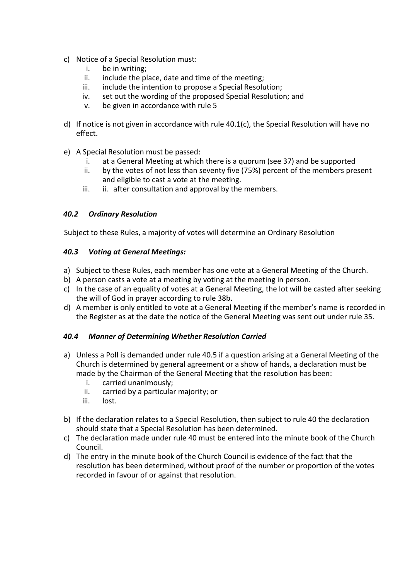- c) Notice of a Special Resolution must:
	- i. be in writing;
	- ii. include the place, date and time of the meeting;
	- iii. include the intention to propose a Special Resolution;
	- iv. set out the wording of the proposed Special Resolution; and
	- v. be given in accordance with rule 5
- d) If notice is not given in accordance with rule 40.1(c), the Special Resolution will have no effect.
- e) A Special Resolution must be passed:
	- i. at a General Meeting at which there is a quorum (see 37) and be supported
	- ii. by the votes of not less than seventy five (75%) percent of the members present and eligible to cast a vote at the meeting.
	- iii. ii. after consultation and approval by the members.

#### *40.2 Ordinary Resolution*

Subject to these Rules, a majority of votes will determine an Ordinary Resolution

#### *40.3 Voting at General Meetings:*

- a) Subject to these Rules, each member has one vote at a General Meeting of the Church.
- b) A person casts a vote at a meeting by voting at the meeting in person.
- c) In the case of an equality of votes at a General Meeting, the lot will be casted after seeking the will of God in prayer according to rule 38b.
- d) A member is only entitled to vote at a General Meeting if the member's name is recorded in the Register as at the date the notice of the General Meeting was sent out under rule 35.

#### *40.4 Manner of Determining Whether Resolution Carried*

- a) Unless a Poll is demanded under rule 40.5 if a question arising at a General Meeting of the Church is determined by general agreement or a show of hands, a declaration must be made by the Chairman of the General Meeting that the resolution has been:
	- i. carried unanimously;
	- ii. carried by a particular majority; or
	- iii. lost.
- b) If the declaration relates to a Special Resolution, then subject to rule 40 the declaration should state that a Special Resolution has been determined.
- c) The declaration made under rule 40 must be entered into the minute book of the Church Council.
- d) The entry in the minute book of the Church Council is evidence of the fact that the resolution has been determined, without proof of the number or proportion of the votes recorded in favour of or against that resolution.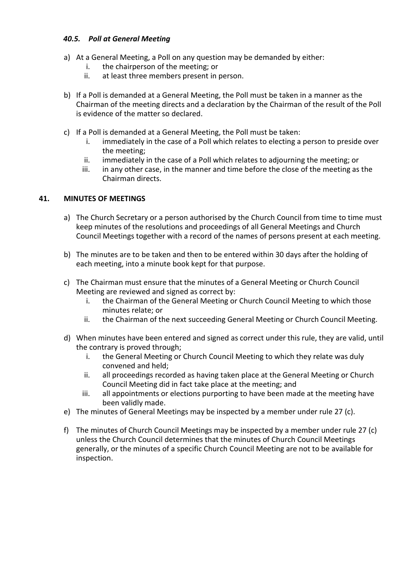#### *40.5. Poll at General Meeting*

- a) At a General Meeting, a Poll on any question may be demanded by either:
	- i. the chairperson of the meeting; or
	- ii. at least three members present in person.
- b) If a Poll is demanded at a General Meeting, the Poll must be taken in a manner as the Chairman of the meeting directs and a declaration by the Chairman of the result of the Poll is evidence of the matter so declared.
- c) If a Poll is demanded at a General Meeting, the Poll must be taken:
	- i. immediately in the case of a Poll which relates to electing a person to preside over the meeting;
	- ii. immediately in the case of a Poll which relates to adjourning the meeting; or
	- iii. in any other case, in the manner and time before the close of the meeting as the Chairman directs.

#### **41. MINUTES OF MEETINGS**

- a) The Church Secretary or a person authorised by the Church Council from time to time must keep minutes of the resolutions and proceedings of all General Meetings and Church Council Meetings together with a record of the names of persons present at each meeting.
- b) The minutes are to be taken and then to be entered within 30 days after the holding of each meeting, into a minute book kept for that purpose.
- c) The Chairman must ensure that the minutes of a General Meeting or Church Council Meeting are reviewed and signed as correct by:
	- i. the Chairman of the General Meeting or Church Council Meeting to which those minutes relate; or
	- ii. the Chairman of the next succeeding General Meeting or Church Council Meeting.
- d) When minutes have been entered and signed as correct under this rule, they are valid, until the contrary is proved through;
	- i. the General Meeting or Church Council Meeting to which they relate was duly convened and held;
	- ii. all proceedings recorded as having taken place at the General Meeting or Church Council Meeting did in fact take place at the meeting; and
	- iii. all appointments or elections purporting to have been made at the meeting have been validly made.
- e) The minutes of General Meetings may be inspected by a member under rule 27 (c).
- f) The minutes of Church Council Meetings may be inspected by a member under rule 27 (c) unless the Church Council determines that the minutes of Church Council Meetings generally, or the minutes of a specific Church Council Meeting are not to be available for inspection.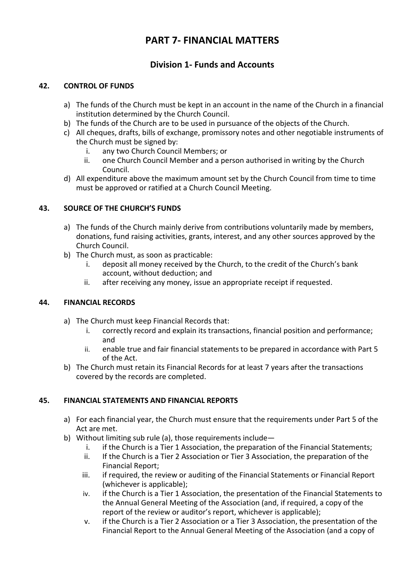# **PART 7- FINANCIAL MATTERS**

# **Division 1- Funds and Accounts**

#### **42. CONTROL OF FUNDS**

- a) The funds of the Church must be kept in an account in the name of the Church in a financial institution determined by the Church Council.
- b) The funds of the Church are to be used in pursuance of the objects of the Church.
- c) All cheques, drafts, bills of exchange, promissory notes and other negotiable instruments of the Church must be signed by:
	- i. any two Church Council Members; or
	- ii. one Church Council Member and a person authorised in writing by the Church Council.
- d) All expenditure above the maximum amount set by the Church Council from time to time must be approved or ratified at a Church Council Meeting.

### **43. SOURCE OF THE CHURCH'S FUNDS**

- a) The funds of the Church mainly derive from contributions voluntarily made by members, donations, fund raising activities, grants, interest, and any other sources approved by the Church Council.
- b) The Church must, as soon as practicable:
	- i. deposit all money received by the Church, to the credit of the Church's bank account, without deduction; and
	- ii. after receiving any money, issue an appropriate receipt if requested.

#### **44. FINANCIAL RECORDS**

- a) The Church must keep Financial Records that:
	- i. correctly record and explain its transactions, financial position and performance; and
	- ii. enable true and fair financial statements to be prepared in accordance with Part 5 of the Act.
- b) The Church must retain its Financial Records for at least 7 years after the transactions covered by the records are completed.

### **45. FINANCIAL STATEMENTS AND FINANCIAL REPORTS**

- a) For each financial year, the Church must ensure that the requirements under Part 5 of the Act are met.
- b) Without limiting sub rule (a), those requirements include
	- i. if the Church is a Tier 1 Association, the preparation of the Financial Statements;
	- ii. If the Church is a Tier 2 Association or Tier 3 Association, the preparation of the Financial Report;
	- iii. if required, the review or auditing of the Financial Statements or Financial Report (whichever is applicable);
	- iv. if the Church is a Tier 1 Association, the presentation of the Financial Statements to the Annual General Meeting of the Association (and, if required, a copy of the report of the review or auditor's report, whichever is applicable);
	- v. if the Church is a Tier 2 Association or a Tier 3 Association, the presentation of the Financial Report to the Annual General Meeting of the Association (and a copy of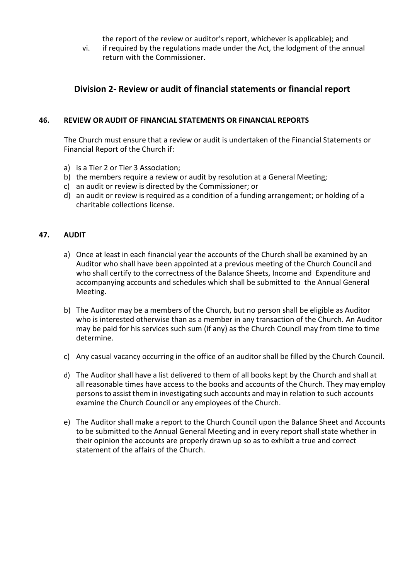the report of the review or auditor's report, whichever is applicable); and

vi. if required by the regulations made under the Act, the lodgment of the annual return with the Commissioner.

### **Division 2- Review or audit of financial statements or financial report**

#### **46. REVIEW OR AUDIT OF FINANCIAL STATEMENTS OR FINANCIAL REPORTS**

The Church must ensure that a review or audit is undertaken of the Financial Statements or Financial Report of the Church if:

- a) is a Tier 2 or Tier 3 Association;
- b) the members require a review or audit by resolution at a General Meeting;
- c) an audit or review is directed by the Commissioner; or
- d) an audit or review is required as a condition of a funding arrangement; or holding of a charitable collections license.

#### **47. AUDIT**

- a) Once at least in each financial year the accounts of the Church shall be examined by an Auditor who shall have been appointed at a previous meeting of the Church Council and who shall certify to the correctness of the Balance Sheets, Income and Expenditure and accompanying accounts and schedules which shall be submitted to the Annual General Meeting.
- b) The Auditor may be a members of the Church, but no person shall be eligible as Auditor who is interested otherwise than as a member in any transaction of the Church. An Auditor may be paid for his services such sum (if any) as the Church Council may from time to time determine.
- c) Any casual vacancy occurring in the office of an auditor shall be filled by the Church Council.
- d) The Auditor shall have a list delivered to them of all books kept by the Church and shall at all reasonable times have access to the books and accounts of the Church. They may employ personsto assist them in investigating such accounts and may in relation to such accounts examine the Church Council or any employees of the Church.
- e) The Auditor shall make a report to the Church Council upon the Balance Sheet and Accounts to be submitted to the Annual General Meeting and in every report shall state whether in their opinion the accounts are properly drawn up so as to exhibit a true and correct statement of the affairs of the Church.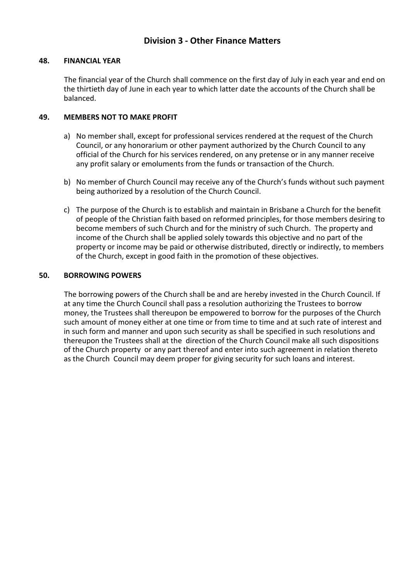### **Division 3 - Other Finance Matters**

#### **48. FINANCIAL YEAR**

The financial year of the Church shall commence on the first day of July in each year and end on the thirtieth day of June in each year to which latter date the accounts of the Church shall be balanced.

#### **49. MEMBERS NOT TO MAKE PROFIT**

- a) No member shall, except for professional services rendered at the request of the Church Council, or any honorarium or other payment authorized by the Church Council to any official of the Church for his services rendered, on any pretense or in any manner receive any profit salary or emoluments from the funds or transaction of the Church.
- b) No member of Church Council may receive any of the Church's funds without such payment being authorized by a resolution of the Church Council.
- c) The purpose of the Church is to establish and maintain in Brisbane a Church for the benefit of people of the Christian faith based on reformed principles, for those members desiring to become members of such Church and for the ministry of such Church. The property and income of the Church shall be applied solely towards this objective and no part of the property or income may be paid or otherwise distributed, directly or indirectly, to members of the Church, except in good faith in the promotion of these objectives.

#### **50. BORROWING POWERS**

The borrowing powers of the Church shall be and are hereby invested in the Church Council. If at any time the Church Council shall pass a resolution authorizing the Trustees to borrow money, the Trustees shall thereupon be empowered to borrow for the purposes of the Church such amount of money either at one time or from time to time and at such rate of interest and in such form and manner and upon such security as shall be specified in such resolutions and thereupon the Trustees shall at the direction of the Church Council make all such dispositions of the Church property or any part thereof and enter into such agreement in relation thereto as the Church Council may deem proper for giving security for such loans and interest.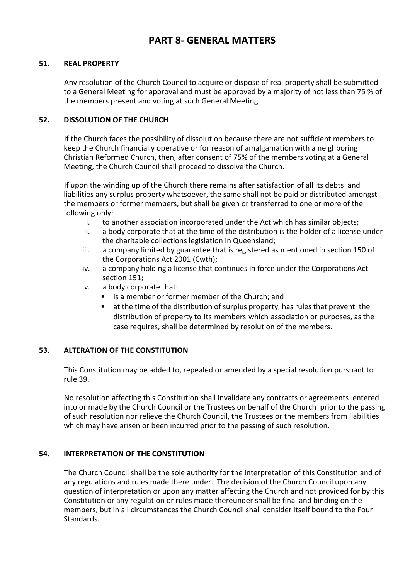# **PART 8- GENERAL MATTERS**

#### **51. REAL PROPERTY**

Any resolution of the Church Council to acquire or dispose of real property shall be submitted to a General Meeting for approval and must be approved by a majority of not less than 75 % of the members present and voting at such General Meeting.

#### **52. DISSOLUTION OF THE CHURCH**

If the Church faces the possibility of dissolution because there are not sufficient members to keep the Church financially operative or for reason of amalgamation with a neighboring Christian Reformed Church, then, after consent of 75% of the members voting at a General Meeting, the Church Council shall proceed to dissolve the Church.

If upon the winding up of the Church there remains after satisfaction of all its debts and liabilities any surplus property whatsoever, the same shall not be paid or distributed amongst the members or former members, but shall be given or transferred to one or more of the following only:

- i. to another association incorporated under the Act which has similar objects;
- ii. a body corporate that at the time of the distribution is the holder of a license under the charitable collections legislation in Queensland;
- iii. a company limited by guarantee that is registered as mentioned in section 150 of the Corporations Act 2001 (Cwth);
- iv. a company holding a license that continues in force under the Corporations Act section 151;
- v. a body corporate that:
	- is a member or former member of the Church; and
	- at the time of the distribution of surplus property, has rules that prevent the distribution of property to its members which association or purposes, as the case requires, shall be determined by resolution of the members.

#### **53. ALTERATION OF THE CONSTITUTION**

This Constitution may be added to, repealed or amended by a special resolution pursuant to rule 39.

No resolution affecting this Constitution shall invalidate any contracts or agreements entered into or made by the Church Council or the Trustees on behalf of the Church prior to the passing of such resolution nor relieve the Church Council, the Trustees or the members from liabilities which may have arisen or been incurred prior to the passing of such resolution.

#### **54. INTERPRETATION OF THE CONSTITUTION**

The Church Council shall be the sole authority for the interpretation of this Constitution and of any regulations and rules made there under. The decision of the Church Council upon any question of interpretation or upon any matter affecting the Church and not provided for by this Constitution or any regulation or rules made thereunder shall be final and binding on the members, but in all circumstances the Church Council shall consider itself bound to the Four Standards.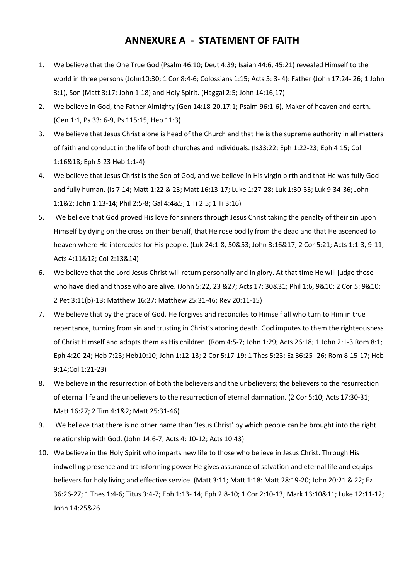# **ANNEXURE A - STATEMENT OF FAITH**

- 1. We believe that the One True God (Psalm 46:10; Deut 4:39; Isaiah 44:6, 45:21) revealed Himself to the world in three persons (John10:30; 1 Cor 8:4-6; Colossians 1:15; Acts 5: 3- 4): Father (John 17:24- 26; 1 John 3:1), Son (Matt 3:17; John 1:18) and Holy Spirit. (Haggai 2:5; John 14:16,17)
- 2. We believe in God, the Father Almighty (Gen 14:18-20,17:1; Psalm 96:1-6), Maker of heaven and earth. (Gen 1:1, Ps 33: 6-9, Ps 115:15; Heb 11:3)
- 3. We believe that Jesus Christ alone is head of the Church and that He is the supreme authority in all matters of faith and conduct in the life of both churches and individuals. (Is33:22; Eph 1:22-23; Eph 4:15; Col 1:16&18; Eph 5:23 Heb 1:1-4)
- 4. We believe that Jesus Christ is the Son of God, and we believe in His virgin birth and that He was fully God and fully human. (Is 7:14; Matt 1:22 & 23; Matt 16:13-17; Luke 1:27-28; Luk 1:30-33; Luk 9:34-36; John 1:1&2; John 1:13-14; Phil 2:5-8; Gal 4:4&5; 1 Ti 2:5; 1 Ti 3:16)
- 5. We believe that God proved His love for sinners through Jesus Christ taking the penalty of their sin upon Himself by dying on the cross on their behalf, that He rose bodily from the dead and that He ascended to heaven where He intercedes for His people. (Luk 24:1-8, 50&53; John 3:16&17; 2 Cor 5:21; Acts 1:1-3, 9-11; Acts 4:11&12; Col 2:13&14)
- 6. We believe that the Lord Jesus Christ will return personally and in glory. At that time He will judge those who have died and those who are alive. (John 5:22, 23 &27; Acts 17: 30&31; Phil 1:6, 9&10; 2 Cor 5: 9&10; 2 Pet 3:11(b)-13; Matthew 16:27; Matthew 25:31-46; Rev 20:11-15)
- 7. We believe that by the grace of God, He forgives and reconciles to Himself all who turn to Him in true repentance, turning from sin and trusting in Christ's atoning death. God imputes to them the righteousness of Christ Himself and adopts them as His children. (Rom 4:5-7; John 1:29; Acts 26:18; 1 John 2:1-3 Rom 8:1; Eph 4:20-24; Heb 7:25; Heb10:10; John 1:12-13; 2 Cor 5:17-19; 1 Thes 5:23; Ez 36:25- 26; Rom 8:15-17; Heb 9:14;Col 1:21-23)
- 8. We believe in the resurrection of both the believers and the unbelievers; the believers to the resurrection of eternal life and the unbelievers to the resurrection of eternal damnation. (2 Cor 5:10; Acts 17:30-31; Matt 16:27; 2 Tim 4:1&2; Matt 25:31-46)
- 9. We believe that there is no other name than 'Jesus Christ' by which people can be brought into the right relationship with God. (John 14:6-7; Acts 4: 10-12; Acts 10:43)
- 10. We believe in the Holy Spirit who imparts new life to those who believe in Jesus Christ. Through His indwelling presence and transforming power He gives assurance of salvation and eternal life and equips believers for holy living and effective service. (Matt 3:11; Matt 1:18: Matt 28:19-20; John 20:21 & 22; Ez 36:26-27; 1 Thes 1:4-6; Titus 3:4-7; Eph 1:13- 14; Eph 2:8-10; 1 Cor 2:10-13; Mark 13:10&11; Luke 12:11-12; John 14:25&26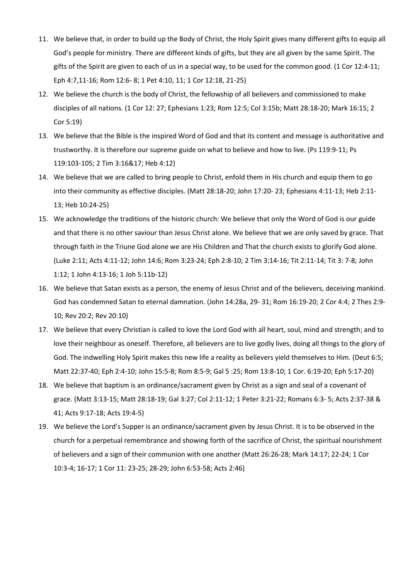- 11. We believe that, in order to build up the Body of Christ, the Holy Spirit gives many different gifts to equip all God's people for ministry. There are different kinds of gifts, but they are all given by the same Spirit. The gifts of the Spirit are given to each of us in a special way, to be used for the common good. (1 Cor 12:4-11; Eph 4:7,11-16; Rom 12:6- 8; 1 Pet 4:10, 11; 1 Cor 12:18, 21-25)
- 12. We believe the church is the body of Christ, the fellowship of all believers and commissioned to make disciples of all nations. (1 Cor 12: 27; Ephesians 1:23; Rom 12:5; Col 3:15b; Matt 28:18-20; Mark 16:15; 2 Cor 5:19)
- 13. We believe that the Bible is the inspired Word of God and that its content and message is authoritative and trustworthy. It is therefore our supreme guide on what to believe and how to live. (Ps 119:9-11; Ps 119:103-105; 2 Tim 3:16&17; Heb 4:12)
- 14. We believe that we are called to bring people to Christ, enfold them in His church and equip them to go into their community as effective disciples. (Matt 28:18-20; John 17:20- 23; Ephesians 4:11-13; Heb 2:11- 13; Heb 10:24-25)
- 15. We acknowledge the traditions of the historic church: We believe that only the Word of God is our guide and that there is no other saviour than Jesus Christ alone. We believe that we are only saved by grace. That through faith in the Triune God alone we are His Children and That the church exists to glorify God alone. (Luke 2:11; Acts 4:11-12; John 14:6; Rom 3:23-24; Eph 2:8-10; 2 Tim 3:14-16; Tit 2:11-14; Tit 3: 7-8; John 1:12; 1 John 4:13-16; 1 Joh 5:11b-12)
- 16. We believe that Satan exists as a person, the enemy of Jesus Christ and of the believers, deceiving mankind. God has condemned Satan to eternal damnation. (John 14:28a, 29- 31; Rom 16:19-20; 2 Cor 4:4; 2 Thes 2:9- 10; Rev 20:2; Rev 20:10)
- 17. We believe that every Christian is called to love the Lord God with all heart, soul, mind and strength; and to love their neighbour as oneself. Therefore, all believers are to live godly lives, doing all things to the glory of God. The indwelling Holy Spirit makes this new life a reality as believers yield themselves to Him. (Deut 6:5; Matt 22:37-40; Eph 2:4-10; John 15:5-8; Rom 8:5-9; Gal 5 :25; Rom 13:8-10; 1 Cor. 6:19-20; Eph 5:17-20)
- 18. We believe that baptism is an ordinance/sacrament given by Christ as a sign and seal of a covenant of grace. (Matt 3:13-15; Matt 28:18-19; Gal 3:27; Col 2:11-12; 1 Peter 3:21-22; Romans 6:3- 5; Acts 2:37-38 & 41; Acts 9:17-18; Acts 19:4-5)
- 19. We believe the Lord's Supper is an ordinance/sacrament given by Jesus Christ. It is to be observed in the church for a perpetual remembrance and showing forth of the sacrifice of Christ, the spiritual nourishment of believers and a sign of their communion with one another (Matt 26:26-28; Mark 14:17; 22-24; 1 Cor 10:3-4; 16-17; 1 Cor 11: 23-25; 28-29; John 6:53-58; Acts 2:46)